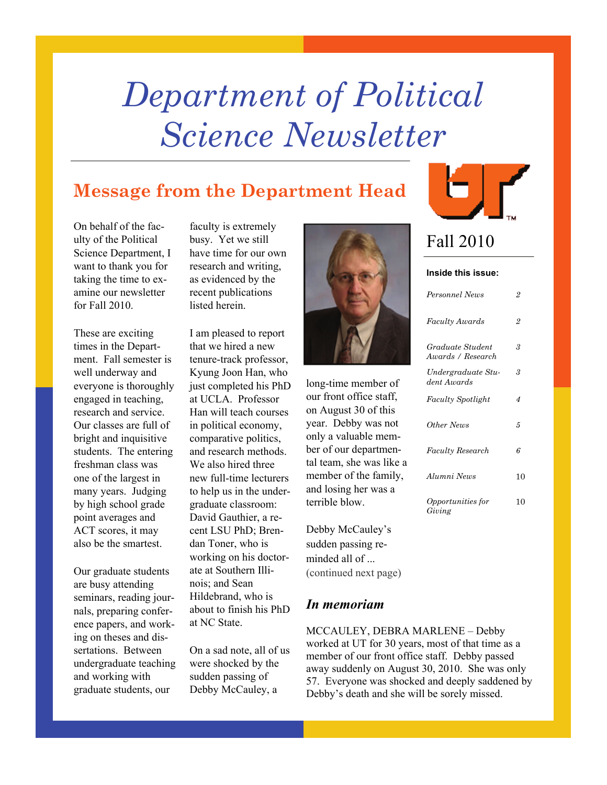# *Department of Political Science Newsletter*

### **Message from the Department Head**

On behalf of the faculty of the Political Science Department, I want to thank you for taking the time to examine our newsletter for Fall 2010.

These are exciting times in the Department. Fall semester is well underway and everyone is thoroughly engaged in teaching, research and service. Our classes are full of bright and inquisitive students. The entering freshman class was one of the largest in many years. Judging by high school grade point averages and ACT scores, it may also be the smartest.

Our graduate students are busy attending seminars, reading journals, preparing conference papers, and working on theses and dissertations. Between undergraduate teaching and working with graduate students, our

faculty is extremely busy. Yet we still have time for our own research and writing, as evidenced by the recent publications listed herein.

I am pleased to report that we hired a new tenure-track professor, Kyung Joon Han, who just completed his PhD at UCLA. Professor Han will teach courses in political economy, comparative politics, and research methods. We also hired three new full-time lecturers to help us in the undergraduate classroom: David Gauthier, a recent LSU PhD; Brendan Toner, who is working on his doctorate at Southern Illinois; and Sean Hildebrand, who is about to finish his PhD at NC State.

On a sad note, all of us were shocked by the sudden passing of Debby McCauley, a



long-time member of our front office staff, on August 30 of this year. Debby was not only a valuable member of our departmental team, she was like a member of the family, and losing her was a terrible blow.

Debby McCauley's sudden passing reminded all of ... (continued next page)

### *In memoriam*

MCCAULEY, DEBRA MARLENE – Debby worked at UT for 30 years, most of that time as a member of our front office staff. Debby passed away suddenly on August 30, 2010. She was only 57. Everyone was shocked and deeply saddened by Debby's death and she will be sorely missed.



### Fall 2010

#### **Inside this issue:**

| Personnel News                        | $\overline{2}$ |
|---------------------------------------|----------------|
| Faculty Awards                        | 2              |
| Graduate Student<br>Awards / Research | 3              |
| Undergraduate Stu-<br>dent Awards     | 3              |
| <b>Faculty Spotlight</b>              | 4              |
| Other News                            | 5              |
| <b>Faculty Research</b>               | 6              |
| Alumni News                           | 10             |
| <i>Opportunities for</i><br>Giving    | 10             |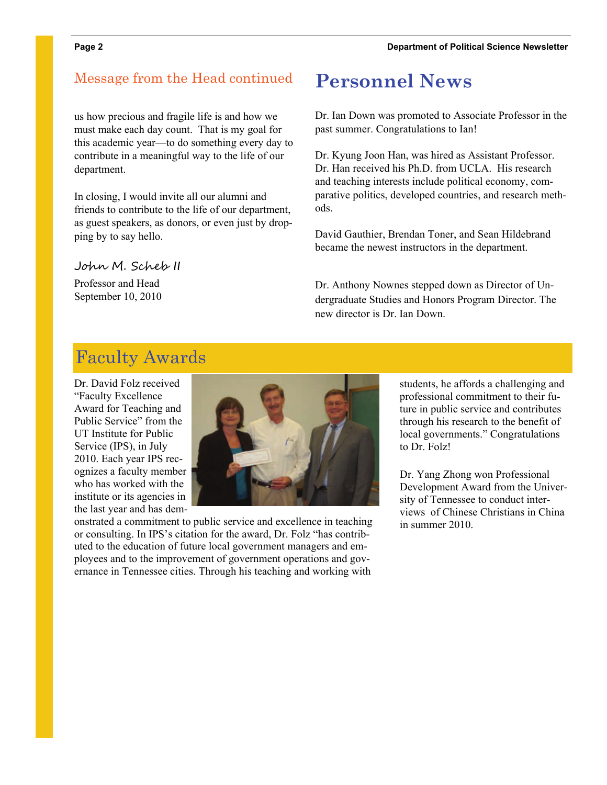### Message from the Head continued **Personnel News**

us how precious and fragile life is and how we must make each day count. That is my goal for this academic year—to do something every day to contribute in a meaningful way to the life of our department.

In closing, I would invite all our alumni and friends to contribute to the life of our department, as guest speakers, as donors, or even just by dropping by to say hello.

### John M. Scheb II

Professor and Head September 10, 2010

Dr. Ian Down was promoted to Associate Professor in the past summer. Congratulations to Ian!

Dr. Kyung Joon Han, was hired as Assistant Professor. Dr. Han received his Ph.D. from UCLA. His research and teaching interests include political economy, comparative politics, developed countries, and research methods.

David Gauthier, Brendan Toner, and Sean Hildebrand became the newest instructors in the department.

Dr. Anthony Nownes stepped down as Director of Undergraduate Studies and Honors Program Director. The new director is Dr. Ian Down.

### Faculty Awards

Dr. David Folz received "Faculty Excellence Award for Teaching and Public Service" from the UT Institute for Public Service (IPS), in July 2010. Each year IPS recognizes a faculty member who has worked with the institute or its agencies in the last year and has dem-



onstrated a commitment to public service and excellence in teaching or consulting. In IPS's citation for the award, Dr. Folz "has contributed to the education of future local government managers and employees and to the improvement of government operations and governance in Tennessee cities. Through his teaching and working with

students, he affords a challenging and professional commitment to their future in public service and contributes through his research to the benefit of local governments." Congratulations to Dr. Folz!

Dr. Yang Zhong won Professional Development Award from the University of Tennessee to conduct interviews of Chinese Christians in China in summer 2010.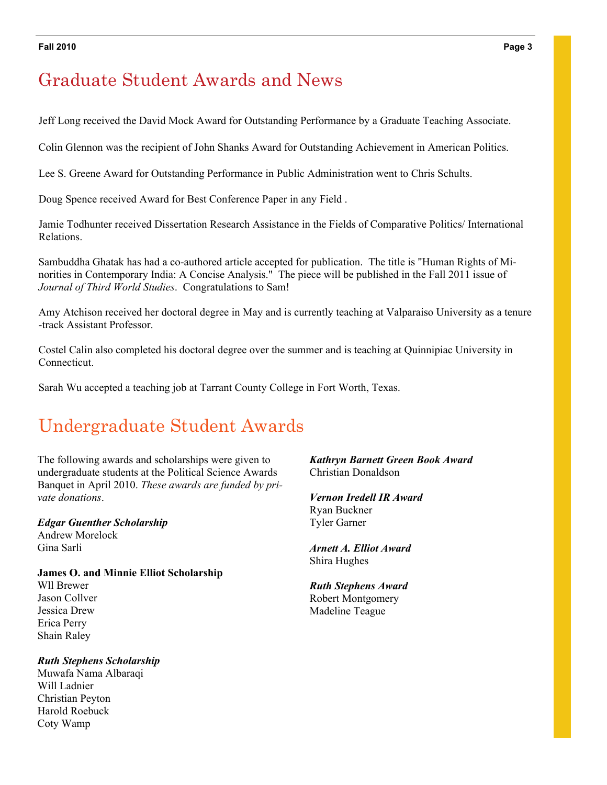#### **Fall 2010 Page 3**

### Graduate Student Awards and News

Jeff Long received the David Mock Award for Outstanding Performance by a Graduate Teaching Associate.

Colin Glennon was the recipient of John Shanks Award for Outstanding Achievement in American Politics.

Lee S. Greene Award for Outstanding Performance in Public Administration went to Chris Schults.

Doug Spence received Award for Best Conference Paper in any Field .

Jamie Todhunter received Dissertation Research Assistance in the Fields of Comparative Politics/ International Relations.

Sambuddha Ghatak has had a co-authored article accepted for publication. The title is "Human Rights of Minorities in Contemporary India: A Concise Analysis." The piece will be published in the Fall 2011 issue of *Journal of Third World Studies*. Congratulations to Sam!

Amy Atchison received her doctoral degree in May and is currently teaching at Valparaiso University as a tenure -track Assistant Professor.

Costel Calin also completed his doctoral degree over the summer and is teaching at Quinnipiac University in Connecticut.

Sarah Wu accepted a teaching job at Tarrant County College in Fort Worth, Texas.

## Undergraduate Student Awards

The following awards and scholarships were given to undergraduate students at the Political Science Awards Banquet in April 2010. *These awards are funded by private donations*.

*Edgar Guenther Scholarship*  Andrew Morelock Gina Sarli

**James O. and Minnie Elliot Scholarship** Wll Brewer Jason Collver Jessica Drew Erica Perry Shain Raley

*Ruth Stephens Scholarship*  Muwafa Nama Albaraqi Will Ladnier Christian Peyton Harold Roebuck Coty Wamp

*Kathryn Barnett Green Book Award* Christian Donaldson

*Vernon Iredell IR Award*  Ryan Buckner Tyler Garner

*Arnett A. Elliot Award*  Shira Hughes

*Ruth Stephens Award*  Robert Montgomery Madeline Teague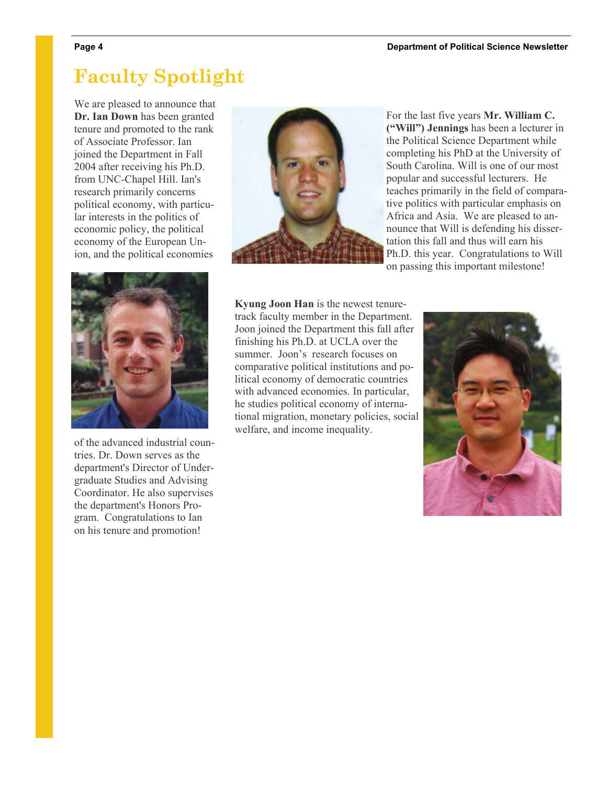### **Faculty Spotlight**

We are pleased to announce that **Dr. Ian Down** has been granted tenure and promoted to the rank of Associate Professor. Ian joined the Department in Fall 2004 after receiving his Ph.D. from UNC-Chapel Hill. Ian's research primarily concerns political economy, with particular interests in the politics of economic policy, the political economy of the European Union, and the political economies



of the advanced industrial countries. Dr. Down serves as the department's Director of Undergraduate Studies and Advising Coordinator. He also supervises the department's Honors Program. Congratulations to Ian on his tenure and promotion!



For the last five years **Mr. William C. ("Will") Jennings** has been a lecturer in the Political Science Department while completing his PhD at the University of South Carolina. Will is one of our most popular and successful lecturers. He teaches primarily in the field of comparative politics with particular emphasis on Africa and Asia. We are pleased to announce that Will is defending his dissertation this fall and thus will earn his Ph.D. this year. Congratulations to Will on passing this important milestone!

**Kyung Joon Han** is the newest tenuretrack faculty member in the Department. Joon joined the Department this fall after finishing his Ph.D. at UCLA over the summer. Joon's research focuses on comparative political institutions and political economy of democratic countries with advanced economies. In particular, he studies political economy of international migration, monetary policies, social welfare, and income inequality.

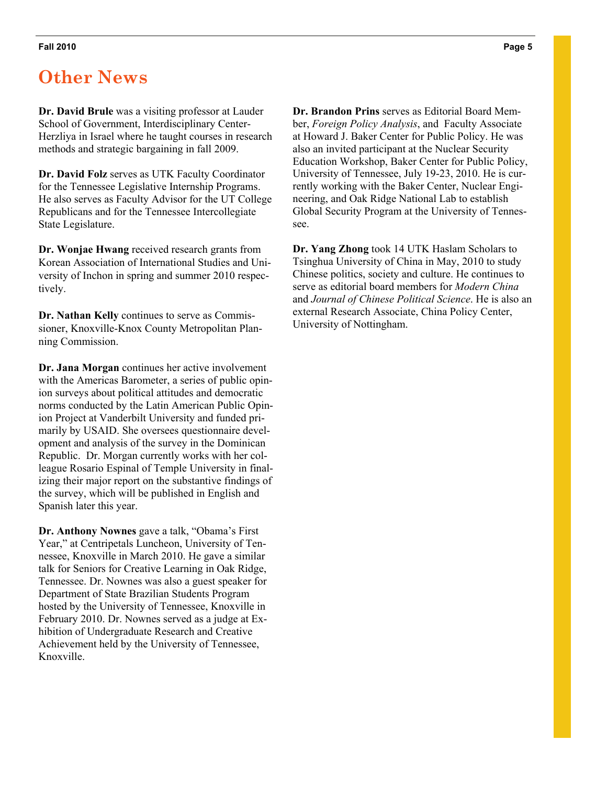### **Other News**

**Dr. David Brule** was a visiting professor at Lauder School of Government, Interdisciplinary Center-Herzliya in Israel where he taught courses in research methods and strategic bargaining in fall 2009.

**Dr. David Folz** serves as UTK Faculty Coordinator for the Tennessee Legislative Internship Programs. He also serves as Faculty Advisor for the UT College Republicans and for the Tennessee Intercollegiate State Legislature.

**Dr. Wonjae Hwang** received research grants from Korean Association of International Studies and University of Inchon in spring and summer 2010 respectively.

**Dr. Nathan Kelly** continues to serve as Commissioner, Knoxville-Knox County Metropolitan Planning Commission.

**Dr. Jana Morgan** continues her active involvement with the Americas Barometer, a series of public opinion surveys about political attitudes and democratic norms conducted by the Latin American Public Opinion Project at Vanderbilt University and funded primarily by USAID. She oversees questionnaire development and analysis of the survey in the Dominican Republic. Dr. Morgan currently works with her colleague Rosario Espinal of Temple University in finalizing their major report on the substantive findings of the survey, which will be published in English and Spanish later this year.

**Dr. Anthony Nownes** gave a talk, "Obama's First Year," at Centripetals Luncheon, University of Tennessee, Knoxville in March 2010. He gave a similar talk for Seniors for Creative Learning in Oak Ridge, Tennessee. Dr. Nownes was also a guest speaker for Department of State Brazilian Students Program hosted by the University of Tennessee, Knoxville in February 2010. Dr. Nownes served as a judge at Exhibition of Undergraduate Research and Creative Achievement held by the University of Tennessee, Knoxville.

**Dr. Brandon Prins** serves as Editorial Board Member, *Foreign Policy Analysis*, and Faculty Associate at Howard J. Baker Center for Public Policy. He was also an invited participant at the Nuclear Security Education Workshop, Baker Center for Public Policy, University of Tennessee, July 19-23, 2010. He is currently working with the Baker Center, Nuclear Engineering, and Oak Ridge National Lab to establish Global Security Program at the University of Tennessee.

**Dr. Yang Zhong** took 14 UTK Haslam Scholars to Tsinghua University of China in May, 2010 to study Chinese politics, society and culture. He continues to serve as editorial board members for *Modern China* and *Journal of Chinese Political Science*. He is also an external Research Associate, China Policy Center, University of Nottingham.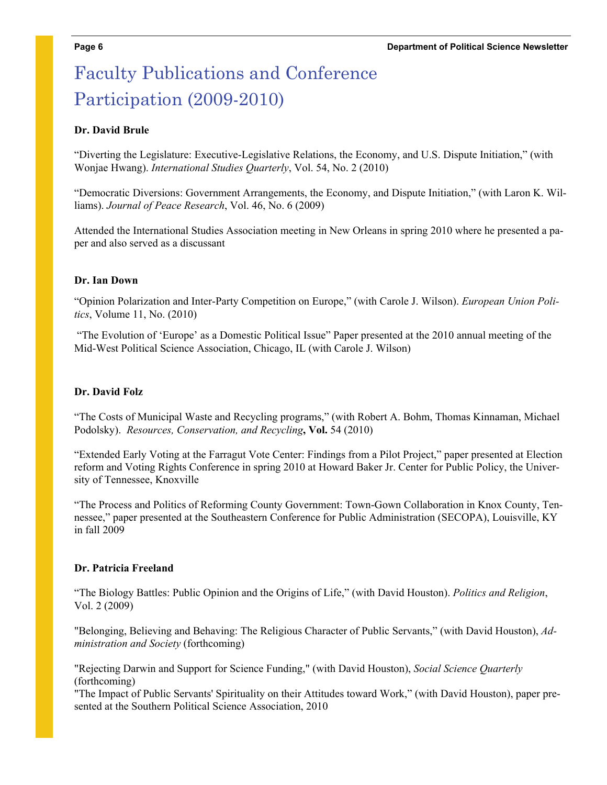# Faculty Publications and Conference Participation (2009-2010)

### **Dr. David Brule**

"Diverting the Legislature: Executive-Legislative Relations, the Economy, and U.S. Dispute Initiation," (with Wonjae Hwang). *International Studies Quarterly*, Vol. 54, No. 2 (2010)

"Democratic Diversions: Government Arrangements, the Economy, and Dispute Initiation," (with Laron K. Williams). *Journal of Peace Research*, Vol. 46, No. 6 (2009)

Attended the International Studies Association meeting in New Orleans in spring 2010 where he presented a paper and also served as a discussant

#### **Dr. Ian Down**

"Opinion Polarization and Inter-Party Competition on Europe," (with Carole J. Wilson). *European Union Politics*, Volume 11, No. (2010)

 "The Evolution of 'Europe' as a Domestic Political Issue" Paper presented at the 2010 annual meeting of the Mid-West Political Science Association, Chicago, IL (with Carole J. Wilson)

#### **Dr. David Folz**

"The Costs of Municipal Waste and Recycling programs," (with Robert A. Bohm, Thomas Kinnaman, Michael Podolsky). *Resources, Conservation, and Recycling***, Vol.** 54 (2010)

"Extended Early Voting at the Farragut Vote Center: Findings from a Pilot Project," paper presented at Election reform and Voting Rights Conference in spring 2010 at Howard Baker Jr. Center for Public Policy, the University of Tennessee, Knoxville

"The Process and Politics of Reforming County Government: Town-Gown Collaboration in Knox County, Tennessee," paper presented at the Southeastern Conference for Public Administration (SECOPA), Louisville, KY in fall 2009

#### **Dr. Patricia Freeland**

"The Biology Battles: Public Opinion and the Origins of Life," (with David Houston). *Politics and Religion*, Vol. 2 (2009)

"Belonging, Believing and Behaving: The Religious Character of Public Servants," (with David Houston), *Administration and Society* (forthcoming)

"Rejecting Darwin and Support for Science Funding," (with David Houston), *Social Science Quarterly* (forthcoming)

"The Impact of Public Servants' Spirituality on their Attitudes toward Work," (with David Houston), paper presented at the Southern Political Science Association, 2010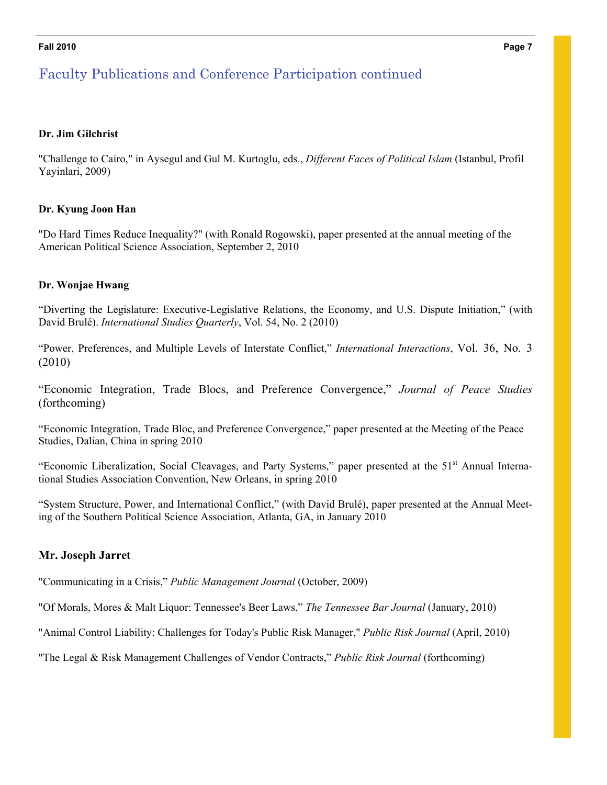#### **Fall 2010 Page 7**

### Faculty Publications and Conference Participation continued

#### **Dr. Jim Gilchrist**

"Challenge to Cairo," in Aysegul and Gul M. Kurtoglu, eds., *Different Faces of Political Islam* (Istanbul, Profil Yayinlari, 2009)

#### **Dr. Kyung Joon Han**

"Do Hard Times Reduce Inequality?" (with Ronald Rogowski), paper presented at the annual meeting of the American Political Science Association, September 2, 2010

#### **Dr. Wonjae Hwang**

"Diverting the Legislature: Executive-Legislative Relations, the Economy, and U.S. Dispute Initiation," (with David Brulé). *International Studies Quarterly*, Vol. 54, No. 2 (2010)

"Power, Preferences, and Multiple Levels of Interstate Conflict," *International Interactions*, Vol. 36, No. 3 (2010)

"Economic Integration, Trade Blocs, and Preference Convergence," *Journal of Peace Studies* (forthcoming)

"Economic Integration, Trade Bloc, and Preference Convergence," paper presented at the Meeting of the Peace Studies, Dalian, China in spring 2010

"Economic Liberalization, Social Cleavages, and Party Systems," paper presented at the 51<sup>st</sup> Annual International Studies Association Convention, New Orleans, in spring 2010

"System Structure, Power, and International Conflict," (with David Brulé), paper presented at the Annual Meeting of the Southern Political Science Association, Atlanta, GA, in January 2010

### **Mr. Joseph Jarret**

"Communicating in a Crisis," *Public Management Journal* (October, 2009)

"Of Morals, Mores & Malt Liquor: Tennessee's Beer Laws," *The Tennessee Bar Journal* (January, 2010)

"Animal Control Liability: Challenges for Today's Public Risk Manager," *Public Risk Journal* (April, 2010)

"The Legal & Risk Management Challenges of Vendor Contracts," *Public Risk Journal* (forthcoming)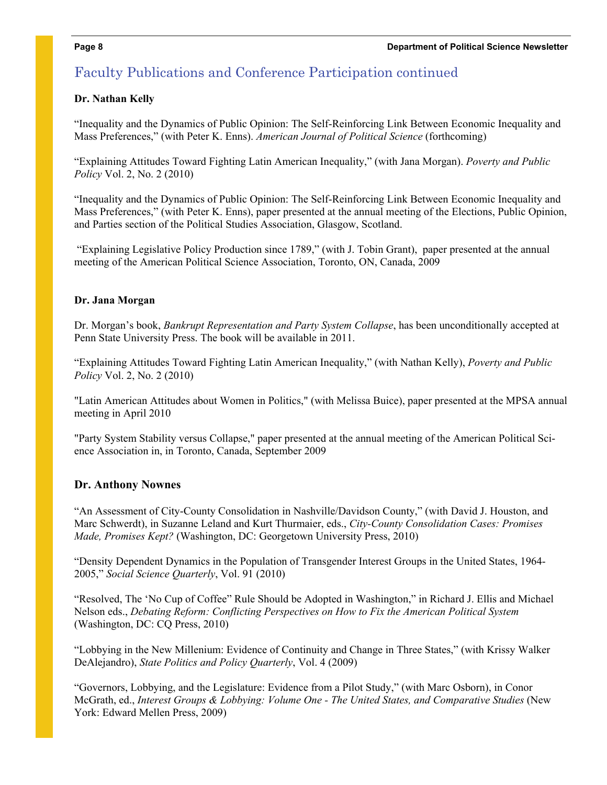### Faculty Publications and Conference Participation continued

### **Dr. Nathan Kelly**

"Inequality and the Dynamics of Public Opinion: The Self-Reinforcing Link Between Economic Inequality and Mass Preferences," (with Peter K. Enns). *American Journal of Political Science* (forthcoming)

"Explaining Attitudes Toward Fighting Latin American Inequality," (with Jana Morgan). *Poverty and Public Policy* Vol. 2, No. 2 (2010)

"Inequality and the Dynamics of Public Opinion: The Self-Reinforcing Link Between Economic Inequality and Mass Preferences," (with Peter K. Enns), paper presented at the annual meeting of the Elections, Public Opinion, and Parties section of the Political Studies Association, Glasgow, Scotland.

 "Explaining Legislative Policy Production since 1789," (with J. Tobin Grant), paper presented at the annual meeting of the American Political Science Association, Toronto, ON, Canada, 2009

### **Dr. Jana Morgan**

Dr. Morgan's book, *Bankrupt Representation and Party System Collapse*, has been unconditionally accepted at Penn State University Press. The book will be available in 2011.

"Explaining Attitudes Toward Fighting Latin American Inequality," (with Nathan Kelly), *Poverty and Public Policy* Vol. 2, No. 2 (2010)

"Latin American Attitudes about Women in Politics," (with Melissa Buice), paper presented at the MPSA annual meeting in April 2010

"Party System Stability versus Collapse," paper presented at the annual meeting of the American Political Science Association in, in Toronto, Canada, September 2009

### **Dr. Anthony Nownes**

"An Assessment of City-County Consolidation in Nashville/Davidson County," (with David J. Houston, and Marc Schwerdt), in Suzanne Leland and Kurt Thurmaier, eds., *City-County Consolidation Cases: Promises Made, Promises Kept?* (Washington, DC: Georgetown University Press, 2010)

"Density Dependent Dynamics in the Population of Transgender Interest Groups in the United States, 1964- 2005," *Social Science Quarterly*, Vol. 91 (2010)

"Resolved, The 'No Cup of Coffee" Rule Should be Adopted in Washington," in Richard J. Ellis and Michael Nelson eds., *Debating Reform: Conflicting Perspectives on How to Fix the American Political System* (Washington, DC: CQ Press, 2010)

"Lobbying in the New Millenium: Evidence of Continuity and Change in Three States," (with Krissy Walker DeAlejandro), *State Politics and Policy Quarterly*, Vol. 4 (2009)

"Governors, Lobbying, and the Legislature: Evidence from a Pilot Study," (with Marc Osborn), in Conor McGrath, ed., *Interest Groups & Lobbying: Volume One - The United States, and Comparative Studies* (New York: Edward Mellen Press, 2009)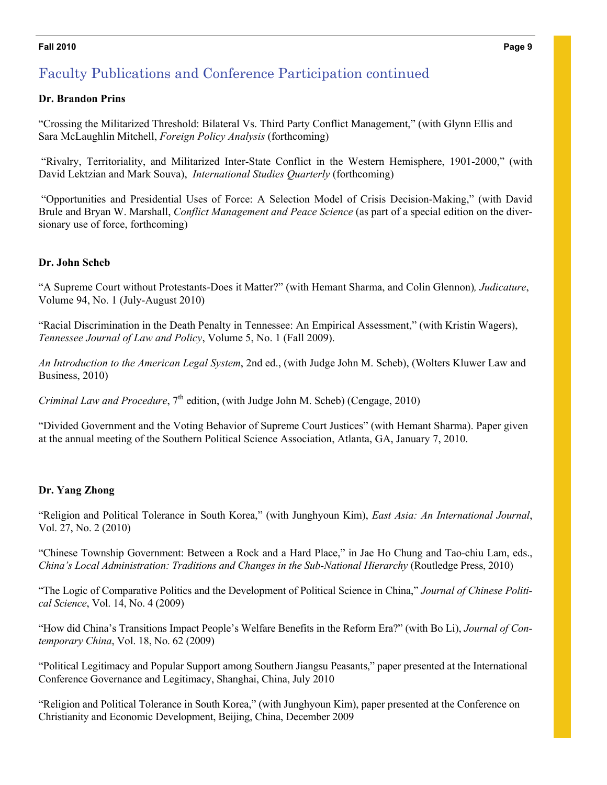#### **Fall 2010 Page 9**

### Faculty Publications and Conference Participation continued

#### **Dr. Brandon Prins**

"Crossing the Militarized Threshold: Bilateral Vs. Third Party Conflict Management," (with Glynn Ellis and Sara McLaughlin Mitchell, *Foreign Policy Analysis* (forthcoming)

 "Rivalry, Territoriality, and Militarized Inter-State Conflict in the Western Hemisphere, 1901-2000," (with David Lektzian and Mark Souva), *International Studies Quarterly* (forthcoming)

 "Opportunities and Presidential Uses of Force: A Selection Model of Crisis Decision-Making," (with David Brule and Bryan W. Marshall, *Conflict Management and Peace Science* (as part of a special edition on the diversionary use of force, forthcoming)

### **Dr. John Scheb**

"A Supreme Court without Protestants-Does it Matter?" (with Hemant Sharma, and Colin Glennon)*, Judicature*, Volume 94, No. 1 (July-August 2010)

"Racial Discrimination in the Death Penalty in Tennessee: An Empirical Assessment," (with Kristin Wagers), *Tennessee Journal of Law and Policy*, Volume 5, No. 1 (Fall 2009).

*An Introduction to the American Legal System*, 2nd ed., (with Judge John M. Scheb), (Wolters Kluwer Law and Business, 2010)

*Criminal Law and Procedure*, 7<sup>th</sup> edition, (with Judge John M. Scheb) (Cengage, 2010)

"Divided Government and the Voting Behavior of Supreme Court Justices" (with Hemant Sharma). Paper given at the annual meeting of the Southern Political Science Association, Atlanta, GA, January 7, 2010.

### **Dr. Yang Zhong**

"Religion and Political Tolerance in South Korea," (with Junghyoun Kim), *East Asia: An International Journal*, Vol. 27, No. 2 (2010)

"Chinese Township Government: Between a Rock and a Hard Place," in Jae Ho Chung and Tao-chiu Lam, eds., *China's Local Administration: Traditions and Changes in the Sub-National Hierarchy* (Routledge Press, 2010)

"The Logic of Comparative Politics and the Development of Political Science in China," *Journal of Chinese Political Science*, Vol. 14, No. 4 (2009)

"How did China's Transitions Impact People's Welfare Benefits in the Reform Era?" (with Bo Li), *Journal of Contemporary China*, Vol. 18, No. 62 (2009)

"Political Legitimacy and Popular Support among Southern Jiangsu Peasants," paper presented at the International Conference Governance and Legitimacy, Shanghai, China, July 2010

"Religion and Political Tolerance in South Korea," (with Junghyoun Kim), paper presented at the Conference on Christianity and Economic Development, Beijing, China, December 2009